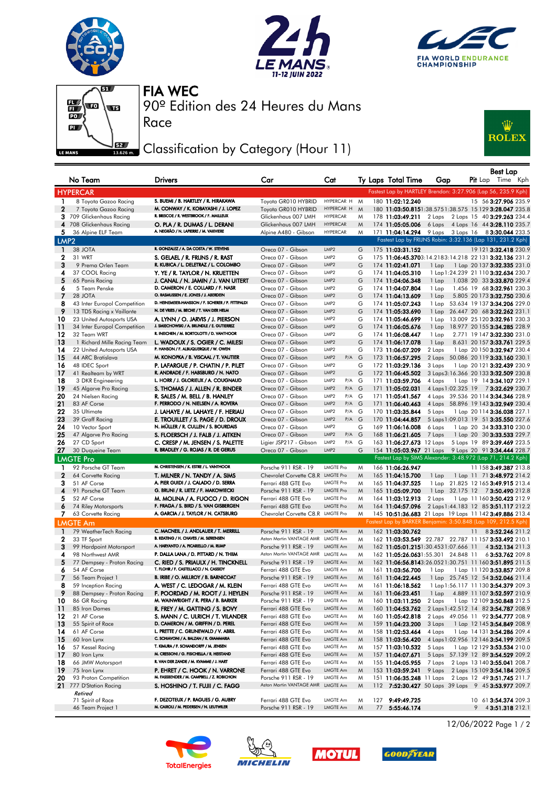







Race

90º Edition des 24 Heures du Mans FIA WEC

## Classification by Category (Hour 11)



|                              | No Team                                               | <b>Drivers</b>                                                                 | Car                                                       | Cat                                |        | Ty Laps Total Time                   | Gap                                                           |    | Best Lap<br><b>Pit</b> Lap Time Kph                                       |
|------------------------------|-------------------------------------------------------|--------------------------------------------------------------------------------|-----------------------------------------------------------|------------------------------------|--------|--------------------------------------|---------------------------------------------------------------|----|---------------------------------------------------------------------------|
|                              | <b>HYPERCAR</b>                                       |                                                                                |                                                           |                                    |        |                                      | Fastest Lap by HARTLEY Brendon: 3:27.906 (Lap 56, 235.9 Kph)  |    |                                                                           |
| $\mathbf{1}$                 | 8 Toyota Gazoo Racing                                 | S. BUEMI / B. HARTLEY / R. HIRAKAWA                                            | Toyota GR010 HYBRID                                       | HYPERCAR H                         | M      | 180 11:02:12.240                     |                                                               |    | 15 56 3:27.906 235.9                                                      |
| $\mathbf{2}$                 | 7 Toyota Gazoo Racing                                 | M. CONWAY / K. KOBAYASHI / J. LOPEZ                                            | Toyota GR010 HYBRID                                       | HYPERCAR H                         | M      |                                      | 180 11:03:50.8151:38.5751:38.575 15 129 3:28.047 235.8        |    |                                                                           |
|                              | 3 709 Glickenhaus Racing                              | R. BRISCOE / R. WESTBROOK / F. MAILLEUX                                        | Glickenhaus 007 LMH                                       | <b>HYPERCAR</b>                    | M      | 178 11:03:49.211                     | 2 Laps                                                        |    | 2 Laps 15 40 3:29.263 234.4                                               |
|                              | 4 708 Glickenhaus Racing                              | O. PLA / R. DUMAS / L. DERANI                                                  | Glickenhaus 007 LMH                                       | <b>HYPERCAR</b>                    | M      | 174 11:05:05.006                     |                                                               |    | 6 Laps 4 Laps 16 44 3:28.110 235.7                                        |
| 5.                           | 36 Alpine ELF Team                                    | A. NEGRÃO / N. LAPIERRE / M. VAXIVIERE                                         | Alpine A480 - Gibson                                      | <b>HYPERCAR</b>                    | M      | 171 11:04:14.294                     |                                                               |    | 9 Laps 3 Laps 16 8 3:30.044 233.5                                         |
| LMP <sub>2</sub>             |                                                       |                                                                                |                                                           |                                    |        |                                      | Fastest Lap by FRIJNS Robin: 3:32.136 (Lap 131, 231.2 Kph)    |    |                                                                           |
| $\mathbf{1}$                 | 38 JOTA                                               | R. GONZALEZ / A. DA COSTA / W. STEVENS                                         | Oreca 07 - Gibson                                         | LMP2                               | G      | 175 11:03:31.152                     |                                                               |    | 19 121 3:32.418 230.9                                                     |
| 2                            | 31 WRT                                                | S. GELAEL / R. FRIJNS / R. RAST                                                | Oreca 07 - Gibson                                         | LMP <sub>2</sub>                   | G      |                                      | 175 11:06:45.3703:14.2183:14.218 22 131 3:32.136 231.2        |    |                                                                           |
| 3                            | 9 Prema Orlen Team                                    | R. KUBICA / L. DELETRAZ / L. COLOMBO                                           | Oreca 07 - Gibson                                         | LMP <sub>2</sub>                   | G      | 174 11:02:41.071                     | $1$ Lap                                                       |    | 1 Lap 20 137 3:32.335 231.0                                               |
| 4                            | 37 COOL Racing                                        | Y. YE / R. TAYLOR / N. KRUETTEN                                                | Oreca 07 - Gibson                                         | LMP2                               | G      | 174 11:04:05.310                     |                                                               |    | 1 Lap 1:24.239 21 110 3:32.634 230.7                                      |
| 5                            | 65 Panis Racing                                       | J. CANAL / N. JAMIN / J. VAN UITERT                                            | Oreca 07 - Gibson                                         | LMP <sub>2</sub>                   | G      | 174 11:04:06.348                     | 1 Lap                                                         |    | 1.038 20 33 3:33.870 229.4                                                |
| 6                            | 5 Team Penske                                         | D. CAMERON / E. COLLARD / F. NASR<br>O. RASMUSSEN / E. JONES / J. ABERDEIN     | Oreca 07 - Gibson                                         | LMP2                               | G      | 174 11:04:07.804                     | 1 Lap                                                         |    | 1.456 19 68 3:32.961 230.3                                                |
| 7                            | 28 JOTA                                               | D. HEINEMEIER-HANSSON / F. SCHERER / P. FITTIPALDI                             | Oreca 07 - Gibson                                         | LMP <sub>2</sub>                   | G      | 174 11:04:13.609                     | 1 Lap                                                         |    | 5.805 20 173 3:32.750 230.6                                               |
| 8<br>9                       | 43 Inter Europol Competition                          | N. DE VRIES / M. BECHE / T. VAN DER HELM                                       | Oreca 07 - Gibson                                         | LMP <sub>2</sub><br>LMP2           | G      | 174 11:05:07.243                     | 1 Lap                                                         |    | 53.634 19 137 3:34.206 229.0                                              |
| 10                           | 13 TDS Racing x Vaillante<br>23 United Autosports USA | A. LYNN / O. JARVIS / J. PIERSON                                               | Oreca 07 - Gibson<br>Oreca 07 - Gibson                    | LMP2                               | G<br>G | 174 11:05:33.690<br>174 11:05:46.699 | 1 Lap                                                         |    | 26.447 20 68 3:32.262 231.1<br>13.009 25 120 3:32.961 230.3               |
| -11                          | 34 Inter Europol Competition                          | J. SMIECHOWSKI / A. BRUNDLE / E. GUTIERREZ                                     | Oreca 07 - Gibson                                         | LMP2                               | G      | 174 11:06:05.676                     | 1 Lap                                                         |    | 1 Lap 18.977 20 155 3:34.285 228.9                                        |
| 12                           | 32 Team WRT                                           | R. INEICHEN / M. BORTOLOTTI / D. VANTHOOR                                      | Oreca 07 - Gibson                                         | LMP <sub>2</sub>                   | G      | 174 11:06:08.447                     | 1 Lap                                                         |    | 2.771 19 147 3:32.330 231.0                                               |
| 13                           | 1 Richard Mille Racing Team                           | L. WADOUX / S. OGIER / C. MILESI                                               | Oreca 07 - Gibson                                         | LMP <sub>2</sub>                   | G      | 174 11:06:17.078                     | 1 Lap                                                         |    | 8.631 20 157 3:33.761 229.5                                               |
| 14                           | 22 United Autosports USA                              | P. HANSON / F. ALBUQUERQUE / W. OWEN                                           | Oreca 07 - Gibson                                         | LMP <sub>2</sub>                   | G      | 173 11:06:07.209                     | 2 Laps                                                        |    | 1 Lap 20 150 3:32.947 230.4                                               |
| 15                           | 44 ARC Bratislava                                     | M. KONOPKA / B. VISCAAL / T. VAUTIER                                           | Oreca 07 - Gibson                                         | LMP <sub>2</sub><br>$P/A$ $G$      |        | 173 11:06:57.295                     | 2 Laps                                                        |    | 50.086 20 119 3:33.160 230.1                                              |
| 16                           | 48 IDEC Sport                                         | P. LAFARGUE / P. CHATIN / P. PILET                                             | Oreca 07 - Gibson                                         | LMP <sub>2</sub>                   | G      | 172 11:03:29.136                     | 3 Laps                                                        |    | 1 Lap 20 121 3:32.439 230.9                                               |
| -17                          | 41 Realteam by WRT                                    | R. ANDRADE / F. HABSBURG / N. NATO                                             | Oreca 07 - Gibson                                         | LMP <sub>2</sub>                   | G      | 172 11:06:45.502                     |                                                               |    | 3 Laps 3:16.366 20 133 3:32.509 230.8                                     |
| 18                           | 3 DKR Engineering                                     | L. HORR / J. GLORIEUX / A. COUGNAUD                                            | Oreca 07 - Gibson                                         | LMP <sub>2</sub><br>P/A G          |        | 171 11:03:59.706                     | 4 Laps                                                        |    | 1 Lap 19 14 3:34.107 229.1                                                |
| 19                           | 45 Algarve Pro Racing                                 | S. THOMAS / J. ALLEN / R. BINDER                                               | Oreca 07 - Gibson                                         | LMP <sub>2</sub><br>$P/A$ G        |        | 171 11:05:02.031                     |                                                               |    | 4 Laps 1:02.325 19 73:32.629 230.7                                        |
| 20                           | 24 Nielsen Racing                                     | R. SALES / M. BELL / B. HANLEY                                                 | Oreca 07 - Gibson                                         | LMP <sub>2</sub><br>$P/A$ G        |        | 171 11:05:41.567                     |                                                               |    | 4 Laps 39.536 20 114 3:34.346 228.9                                       |
| 21                           | 83 AF Corse                                           | F. PERRODO / N. NIELSEN / A. ROVERA                                            | Oreca 07 - Gibson                                         | LMP <sub>2</sub><br>$P/A$ $G$      |        | 171 11:06:40.463                     |                                                               |    | 4 Laps 58.896 19 143 3:32.949 230.4                                       |
| 22                           | 35 Ultimate                                           | J. LAHAYE / M. LAHAYE / F. HERIAU                                              | Oreca 07 - Gibson                                         | LMP <sub>2</sub><br>P/A G          |        | 170 11:03:35.844                     | 5 Laps                                                        |    | 1 Lap 20 114 3:36.038 227.1                                               |
| 23                           | 39 Graff Racing                                       | E. TROUILLET / S. PAGE / D. DROUX                                              | Oreca 07 - Gibson                                         | LMP <sub>2</sub><br>$P/A$ G        |        | 170 11:04:44.857                     |                                                               |    | 5 Laps 1:09.013 19 51 3:35.550 227.6                                      |
| 24                           | 10 Vector Sport                                       | N. MÜLLER / R. CULLEN / S. BOURDAIS                                            | Oreca 07 - Gibson                                         | LMP <sub>2</sub>                   | G      | 169 11:06:16.008                     | 6 Laps                                                        |    | 1 Lap 20 34 3:33.310 230.0                                                |
| 25<br>26                     | 47 Algarve Pro Racing                                 | S. FLOERSCH / J. FALB / J. AITKEN                                              | Oreca 07 - Gibson                                         | LMP2<br>$P/A$ $G$<br>LMP2<br>P/A G |        | 168 11:06:21.605                     | 7 Laps                                                        |    | 1 Lap 20 30 3:33.533 229.7                                                |
| 27                           | 27 CD Sport<br>30 Duqueine Team                       | C. CRESP / M. JENSEN / S. PALETTE<br>R. BRADLEY / G. ROJAS / R. DE GERUS       | Ligier JSP217 - Gibson<br>Oreca 07 - Gibson               | LMP <sub>2</sub>                   | G      | 163 11:06:27.673 12 Laps             | 154 11:05:03.967 21 Laps 9 Laps 20 91 3:34.444 228.7          |    | 5 Laps 19 89 3:39.469 223.5                                               |
|                              |                                                       |                                                                                |                                                           |                                    |        |                                      | Fastest Lap by SIMS Alexander: 3:48.972 (Lap 71, 214.2 Kph)   |    |                                                                           |
|                              | <b>LMGTE Pro</b>                                      | M. CHRISTENSEN / K. ESTRE / L. VANTHOOR                                        |                                                           | <b>LMGTE Pro</b>                   |        |                                      |                                                               |    |                                                                           |
| $\mathbf{1}$<br>$\mathbf{2}$ | 92 Porsche GT Team<br>64 Corvette Racing              | T. MILNER / N. TANDY / A. SIMS                                                 | Porsche 911 RSR - 19<br>Chevrolet Corvette C8.R LMGTE Pro |                                    | M<br>M | 166 11:06:26.947<br>165 11:04:15.700 | 1 Lap                                                         |    | 11 158 3:49.387 213.8<br>1 Lap 11 71 <b>3:48.972</b> 214.2                |
| з                            | 51 AF Corse                                           | A. PIER GUIDI / J. CALADO / D. SERRA                                           | Ferrari 488 GTE Evo                                       | <b>LMGTE Pro</b>                   | M      | 165 11:04:37.525                     |                                                               |    | 1 Lap 21.825 12 165 3:49.915 213.4                                        |
| 4                            | 91 Porsche GT Team                                    | G. BRUNI / R. LIETZ / F. MAKOWIECKI                                            | Porsche 911 RSR - 19                                      | <b>LMGTE Pro</b>                   | M      | 165 11:05:09.700                     |                                                               |    | 1 Lap 32.175 12 7 3:50.490 212.8                                          |
| 5                            | 52 AF Corse                                           | M. MOLINA / A. FUOCO / D. RIGON                                                | Ferrari 488 GTE Evo                                       | <b>LMGTE Pro</b>                   | M      | 164 11:03:12.913                     | 2 Laps                                                        |    | 1 Lap 11 160 <b>3:50.423</b> 212.9                                        |
| 6                            | 74 Riley Motorsports                                  | F. FRAGA / S. BIRD / S. VAN GISBERGEN                                          | Ferrari 488 GTE Evo                                       | <b>LMGTE Pro</b>                   | M      | 164 11:04:57.096                     |                                                               |    | 2 Laps 1:44.183 12 85 3:51.117 212.2                                      |
| 7.                           | 63 Corvette Racing                                    | A. GARCIA / J. TAYLOR / N. CATSBURG                                            | Chevrolet Corvette C8.R LMGTE Pro                         |                                    | M      |                                      | 145 10:51:36.683 21 Laps 19 Laps 11 142 3:49.886 213.4        |    |                                                                           |
|                              | <b>LMGTE Am</b>                                       |                                                                                |                                                           |                                    |        |                                      | Fastest Lap by BARKER Benjamin: 3:50.848 (Lap 109, 212.5 Kph) |    |                                                                           |
| 1                            | 79 WeatherTech Racing                                 | C. MACNEIL / J. ANDLAUER / T. MERRILL                                          | Porsche 911 RSR - 19                                      | LMGTE Am                           | M      | 162 11:03:30.762                     |                                                               | 11 | 83:52.246 211.2                                                           |
| $\mathbf 2$                  | 33 TF Sport                                           | B. KEATING / H. CHAVES / M. SØRENSEN                                           | Aston Martin VANTAGE AMR LMGTE Am                         |                                    | M      |                                      | 162 11:03:53.549 22.787 22.787 11 157 3:53.492 210.1          |    |                                                                           |
| 3                            | 99 Hardpoint Motorsport                               | A. HARYANTO / A. PICARIELLO / M. RUMP                                          | Porsche 911 RSR - 19                                      | LMGTE Am                           | M      |                                      | 162 11:05:01.2151:30.4531:07.666 11                           |    | 4 3:52.134 211.3                                                          |
| 4                            | 98 Northwest AMR                                      | P. DALLA LANA / D. PITTARD / N. THIIM                                          | Aston Martin VANTAGE AMR LMGTE Am                         |                                    | M      |                                      | 162 11:05:26.0631:55.301 24.848 11                            |    | 63:53.762 209.8                                                           |
| 5                            | 77 Dempsey - Proton Racing                            | C. RIED / S. PRIAULX / H. TINCKNELL                                            | Porsche 911 RSR - 19                                      | <b>LMGTE Am</b>                    | M      |                                      | 162 11:06:56.8143:26.0521:30.751 11 160 3:51.895 211.5        |    |                                                                           |
| 6                            | 54 AF Corse                                           | T. FLOHR / F. CASTELLACCI / N. CASSIDY                                         | Ferrari 488 GTE Evo                                       | LMGTE Am                           | M      | 161 11:03:56.700                     | 1 Lap                                                         |    | 1 Lap 11 120 <b>3:53.857</b> 209.8                                        |
|                              | 56 Team Project 1                                     | B. IRIBE / O. MILLROY / B. BARNICOAT                                           | Porsche 911 RSR - 19                                      | LMGTE Am                           | Μ      | 161 11:04:22.445                     |                                                               |    | 1 Lap 25.745 12 54 3:52.046 211.4                                         |
| 8                            | 59 Inception Racing                                   | A. WEST / C. LEDOGAR / M. KLEIN                                                | Ferrari 488 GTE Evo                                       | LMGTE Am                           | M      | 161 11:06:18.562                     |                                                               |    | 1 Lap 1:56.117 11 130 3:54.379 209.3                                      |
| 9                            | 88 Dempsey - Proton Racing                            | F. POORDAD / M. ROOT / J. HEYLEN                                               | Porsche 911 RSR - 19                                      | LMGTE Am                           | M      | 161 11:06:23.451                     | 1 Lap                                                         |    | 4.889 11 107 3:52.597 210.9                                               |
| 10                           | 86 GR Racing                                          | M. WAINWRIGHT / R. PERA / B. BARKER                                            | Porsche 911 RSR - 19                                      | LMGTE Am                           | M      | 160 11:03:11.250                     | 2 Laps                                                        |    | 1 Lap 12 109 3:50.848 212.5                                               |
| $\frac{11}{11}$              | 85 Iron Dames                                         | R. FREY / M. GATTING / S. BOVY                                                 | Ferrari 488 GTE Evo                                       | LMGTE Am                           | M      | 160 11:04:53.762                     |                                                               |    | 2 Laps 1:42.512 14 82 3:54.787 208.9                                      |
| 12                           | 21 AF Corse                                           | S. MANN / C. ULRICH / T. VILANDER                                              | Ferrari 488 GTE Evo                                       | LMGTE Am                           | M      | 160 11:05:42.818                     |                                                               |    | 2 Laps 49.056 11 92 3:54.777 208.9                                        |
| 13                           | 55 Spirit of Race                                     | D. CAMERON / M. GRIFFIN / D. PEREL                                             | Ferrari 488 GTE Evo                                       | LMGTE Am                           | M      | 159 11:04:23.200                     | 3 Laps                                                        |    | 1 Lap 12 145 <b>3:54.849</b> 208.9                                        |
| 14                           | 61 AF Corse                                           | L. PRETTE / C. GRUNEWALD / V. ABRIL<br>C. SCHIAVONI / A. BALZAN / R. GIAMMARIA | Ferrari 488 GTE Evo                                       | LMGTE Am                           | M      | 158 11:02:53.464                     | 4 Laps                                                        |    | 1 Lap 14 131 3:54.286 209.4                                               |
| -15                          | 60 Iron Lynx<br>57 Kessel Racing                      | T. KIMURA / F. SCHANDORFF / M. JENSEN                                          | Ferrari 488 GTE Evo                                       | LMGTE Am<br>LMGTE Am               | M      | 158 11:03:56.420                     | 5 Laps                                                        |    | 4 Laps 1:02.956 12 146 3:54.199 209.5                                     |
| 16<br>-17                    |                                                       | M. CRESSONI / G. FISICHELLA / R. HEISTAND                                      | Ferrari 488 GTE Evo<br>Ferrari 488 GTE Evo                | LMGTE Am                           | M      | 157 11:03:10.532                     |                                                               |    | 1 Lap 12 129 3:53.534 210.0                                               |
| 18                           | 80 Iron Lynx<br>66 JMW Motorsport                     | R. VAN DER ZANDE / M. KVAMME / J. HART                                         | Ferrari 488 GTE Evo                                       | LMGTE Am                           | M<br>M | 157 11:04:07.671<br>155 11:04:05.955 |                                                               |    | 5 Laps 57.139 12 89 3:54.529 209.2<br>7 Laps 2 Laps 13 140 3:55.041 208.7 |
| -19                          | 75 Iron Lynx                                          | P. EHRET / C. HOOK / N. VARRONE                                                | Ferrari 488 GTE Evo                                       | LMGTE Am                           | M      | 153 11:03:59.241                     |                                                               |    | 9 Laps 2 Laps 15 109 3:54.184 209.5                                       |
| 20                           | 93 Proton Competition                                 | M. FASSBENDER / M. CAMPBELL / Z. ROBICHON                                      | Porsche 911 RSR - 19                                      | LMGTE Am                           | M      |                                      | 151 11:06:35.248 11 Laps 2 Laps 12 49 3:51.745 211.7          |    |                                                                           |
|                              | 21 777 D'Station Racing                               | S. HOSHINO / T. FUJII / C. FAGG                                                | Aston Martin VANTAGE AMR LMGTE Am                         |                                    | M      |                                      | 112 7:52:30.427 50 Laps 39 Laps 9 45 3:53.977 209.7           |    |                                                                           |
|                              | Retired                                               |                                                                                |                                                           |                                    |        |                                      |                                                               |    |                                                                           |
|                              | 71 Spirit of Race                                     | F. DEZOTEUX / P. RAGUES / G. AUBRY                                             | Ferrari 488 GTE Evo                                       | LMGTE Am                           | M      | 127 9:49:49.725                      |                                                               |    | 10 61 3:54.374 209.3                                                      |
|                              | 46 Team Project 1                                     | M. CAIROLI / M. PEDERSEN / N. LEUTWILER                                        | Porsche 911 RSR - 19                                      | LMGTE Am                           | M      | 77 5:55:46.174                       |                                                               |    | $9$ 4 3:51.318 212.1                                                      |









12/06/2022 Page 1 / 2